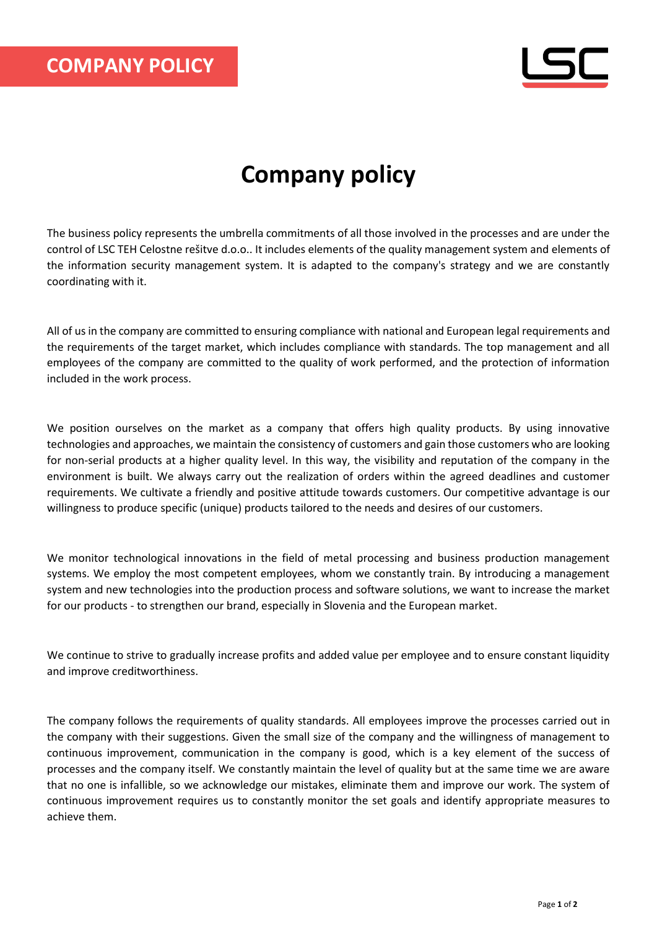## **Company policy**

The business policy represents the umbrella commitments of all those involved in the processes and are under the control of LSC TEH Celostne rešitve d.o.o.. It includes elements of the quality management system and elements of the information security management system. It is adapted to the company's strategy and we are constantly coordinating with it.

All of us in the company are committed to ensuring compliance with national and European legal requirements and the requirements of the target market, which includes compliance with standards. The top management and all employees of the company are committed to the quality of work performed, and the protection of information included in the work process.

We position ourselves on the market as a company that offers high quality products. By using innovative technologies and approaches, we maintain the consistency of customers and gain those customers who are looking for non-serial products at a higher quality level. In this way, the visibility and reputation of the company in the environment is built. We always carry out the realization of orders within the agreed deadlines and customer requirements. We cultivate a friendly and positive attitude towards customers. Our competitive advantage is our willingness to produce specific (unique) products tailored to the needs and desires of our customers.

We monitor technological innovations in the field of metal processing and business production management systems. We employ the most competent employees, whom we constantly train. By introducing a management system and new technologies into the production process and software solutions, we want to increase the market for our products - to strengthen our brand, especially in Slovenia and the European market.

We continue to strive to gradually increase profits and added value per employee and to ensure constant liquidity and improve creditworthiness.

The company follows the requirements of quality standards. All employees improve the processes carried out in the company with their suggestions. Given the small size of the company and the willingness of management to continuous improvement, communication in the company is good, which is a key element of the success of processes and the company itself. We constantly maintain the level of quality but at the same time we are aware that no one is infallible, so we acknowledge our mistakes, eliminate them and improve our work. The system of continuous improvement requires us to constantly monitor the set goals and identify appropriate measures to achieve them.